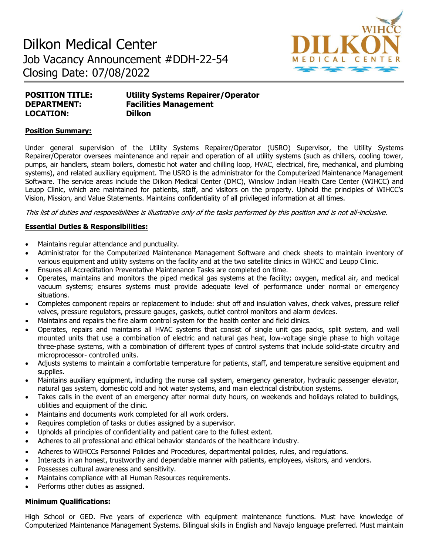# Dilkon Medical Center Job Vacancy Announcement #DDH-22-54 Closing Date: 07/08/2022



| <b>POSITION TITLE:</b> | <b>Utility Systems Repairer/Operator</b> |
|------------------------|------------------------------------------|
| <b>DEPARTMENT:</b>     | <b>Facilities Management</b>             |
| <b>LOCATION:</b>       | <b>Dilkon</b>                            |

## **Position Summary:**

Under general supervision of the Utility Systems Repairer/Operator (USRO) Supervisor, the Utility Systems Repairer/Operator oversees maintenance and repair and operation of all utility systems (such as chillers, cooling tower, pumps, air handlers, steam boilers, domestic hot water and chilling loop, HVAC, electrical, fire, mechanical, and plumbing systems), and related auxiliary equipment. The USRO is the administrator for the Computerized Maintenance Management Software. The service areas include the Dilkon Medical Center (DMC), Winslow Indian Health Care Center (WIHCC) and Leupp Clinic, which are maintained for patients, staff, and visitors on the property. Uphold the principles of WIHCC's Vision, Mission, and Value Statements. Maintains confidentiality of all privileged information at all times.

This list of duties and responsibilities is illustrative only of the tasks performed by this position and is not all-inclusive.

## **Essential Duties & Responsibilities:**

- Maintains regular attendance and punctuality.
- Administrator for the Computerized Maintenance Management Software and check sheets to maintain inventory of various equipment and utility systems on the facility and at the two satellite clinics in WIHCC and Leupp Clinic.
- Ensures all Accreditation Preventative Maintenance Tasks are completed on time.
- Operates, maintains and monitors the piped medical gas systems at the facility; oxygen, medical air, and medical vacuum systems; ensures systems must provide adequate level of performance under normal or emergency situations.
- Completes component repairs or replacement to include: shut off and insulation valves, check valves, pressure relief valves, pressure regulators, pressure gauges, gaskets, outlet control monitors and alarm devices.
- Maintains and repairs the fire alarm control system for the health center and field clinics.
- Operates, repairs and maintains all HVAC systems that consist of single unit gas packs, split system, and wall mounted units that use a combination of electric and natural gas heat, low-voltage single phase to high voltage three-phase systems, with a combination of different types of control systems that include solid-state circuitry and microprocessor- controlled units.
- Adjusts systems to maintain a comfortable temperature for patients, staff, and temperature sensitive equipment and supplies.
- Maintains auxiliary equipment, including the nurse call system, emergency generator, hydraulic passenger elevator, natural gas system, domestic cold and hot water systems, and main electrical distribution systems.
- Takes calls in the event of an emergency after normal duty hours, on weekends and holidays related to buildings, utilities and equipment of the clinic.
- Maintains and documents work completed for all work orders.
- Requires completion of tasks or duties assigned by a supervisor.
- Upholds all principles of confidentiality and patient care to the fullest extent.
- Adheres to all professional and ethical behavior standards of the healthcare industry.
- Adheres to WIHCCs Personnel Policies and Procedures, departmental policies, rules, and regulations.
- Interacts in an honest, trustworthy and dependable manner with patients, employees, visitors, and vendors.
- Possesses cultural awareness and sensitivity.
- Maintains compliance with all Human Resources requirements.
- Performs other duties as assigned.

## **Minimum Qualifications:**

High School or GED. Five years of experience with equipment maintenance functions. Must have knowledge of Computerized Maintenance Management Systems. Bilingual skills in English and Navajo language preferred. Must maintain